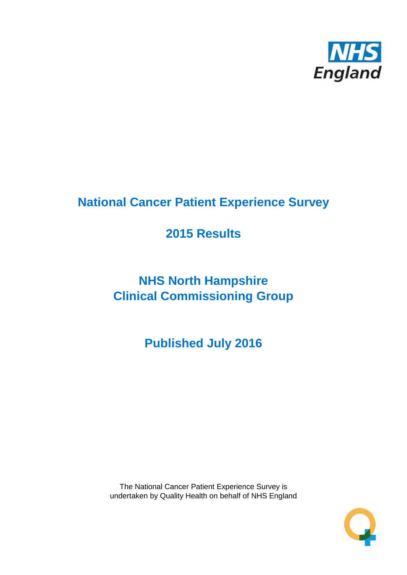

# **National Cancer Patient Experience Survey**

# **2015 Results**

# **NHS North Hampshire Clinical Commissioning Group**

**Published July 2016**

The National Cancer Patient Experience Survey is undertaken by Quality Health on behalf of NHS England

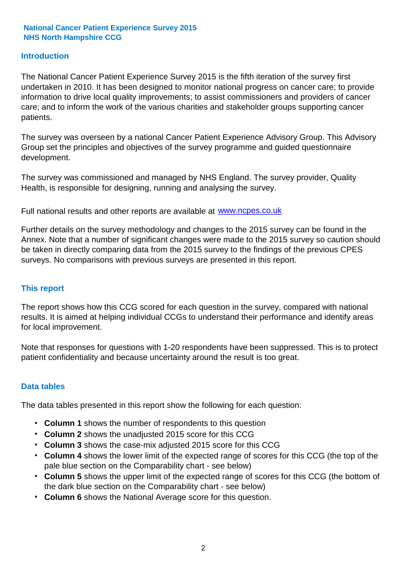### **Introduction**

The National Cancer Patient Experience Survey 2015 is the fifth iteration of the survey first undertaken in 2010. It has been designed to monitor national progress on cancer care; to provide information to drive local quality improvements; to assist commissioners and providers of cancer care; and to inform the work of the various charities and stakeholder groups supporting cancer patients.

The survey was overseen by a national Cancer Patient Experience Advisory Group. This Advisory Group set the principles and objectives of the survey programme and guided questionnaire development.

The survey was commissioned and managed by NHS England. The survey provider, Quality Health, is responsible for designing, running and analysing the survey.

Full national results and other reports are available at www.ncpes.co.uk

Further details on the survey methodology and changes to the 2015 survey can be found in the Annex. Note that a number of significant changes were made to the 2015 survey so caution should be taken in directly comparing data from the 2015 survey to the findings of the previous CPES surveys. No comparisons with previous surveys are presented in this report.

#### **This report**

The report shows how this CCG scored for each question in the survey, compared with national results. It is aimed at helping individual CCGs to understand their performance and identify areas for local improvement.

Note that responses for questions with 1-20 respondents have been suppressed. This is to protect patient confidentiality and because uncertainty around the result is too great.

#### **Data tables**

The data tables presented in this report show the following for each question:

- **Column 1** shows the number of respondents to this question
- **Column 2** shows the unadjusted 2015 score for this CCG
- **Column 3** shows the case-mix adjusted 2015 score for this CCG
- **Column 4** shows the lower limit of the expected range of scores for this CCG (the top of the pale blue section on the Comparability chart - see below)
- **Column 5** shows the upper limit of the expected range of scores for this CCG (the bottom of the dark blue section on the Comparability chart - see below)
- **Column 6** shows the National Average score for this question.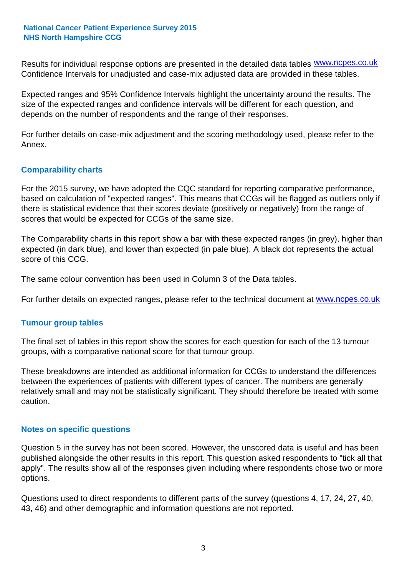Results for individual response options are presented in the detailed data tables **WWW.ncpes.co.uk** Confidence Intervals for unadjusted and case-mix adjusted data are provided in these tables.

Expected ranges and 95% Confidence Intervals highlight the uncertainty around the results. The size of the expected ranges and confidence intervals will be different for each question, and depends on the number of respondents and the range of their responses.

For further details on case-mix adjustment and the scoring methodology used, please refer to the Annex.

### **Comparability charts**

For the 2015 survey, we have adopted the CQC standard for reporting comparative performance, based on calculation of "expected ranges". This means that CCGs will be flagged as outliers only if there is statistical evidence that their scores deviate (positively or negatively) from the range of scores that would be expected for CCGs of the same size.

The Comparability charts in this report show a bar with these expected ranges (in grey), higher than expected (in dark blue), and lower than expected (in pale blue). A black dot represents the actual score of this CCG.

The same colour convention has been used in Column 3 of the Data tables.

For further details on expected ranges, please refer to the technical document at **www.ncpes.co.uk** 

#### **Tumour group tables**

The final set of tables in this report show the scores for each question for each of the 13 tumour groups, with a comparative national score for that tumour group.

These breakdowns are intended as additional information for CCGs to understand the differences between the experiences of patients with different types of cancer. The numbers are generally relatively small and may not be statistically significant. They should therefore be treated with some caution.

#### **Notes on specific questions**

Question 5 in the survey has not been scored. However, the unscored data is useful and has been published alongside the other results in this report. This question asked respondents to "tick all that apply". The results show all of the responses given including where respondents chose two or more options.

Questions used to direct respondents to different parts of the survey (questions 4, 17, 24, 27, 40, 43, 46) and other demographic and information questions are not reported.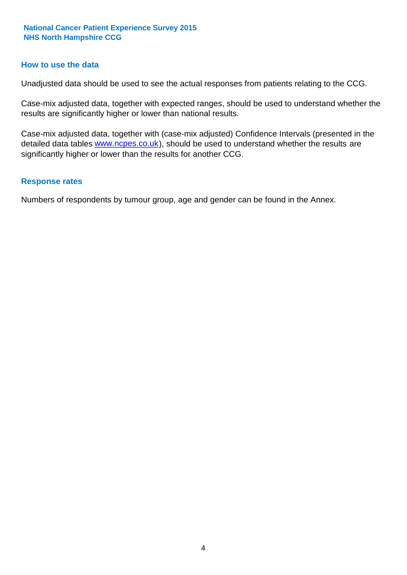#### **How to use the data**

Unadjusted data should be used to see the actual responses from patients relating to the CCG.

Case-mix adjusted data, together with expected ranges, should be used to understand whether the results are significantly higher or lower than national results.

Case-mix adjusted data, together with (case-mix adjusted) Confidence Intervals (presented in the detailed data tables **www.ncpes.co.uk**), should be used to understand whether the results are significantly higher or lower than the results for another CCG.

#### **Response rates**

Numbers of respondents by tumour group, age and gender can be found in the Annex.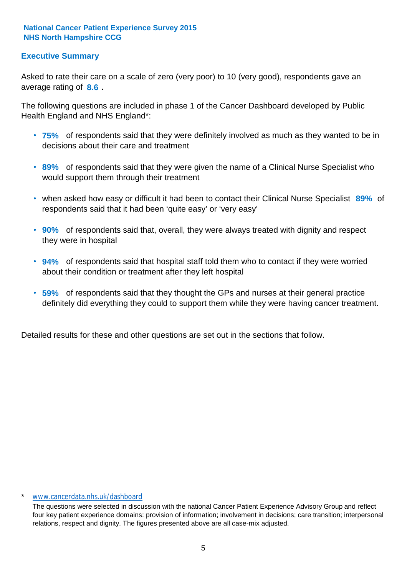## **Executive Summary**

average rating of 8.6. Asked to rate their care on a scale of zero (very poor) to 10 (very good), respondents gave an

The following questions are included in phase 1 of the Cancer Dashboard developed by Public Health England and NHS England\*:

- **75%** of respondents said that they were definitely involved as much as they wanted to be in decisions about their care and treatment
- **89%** of respondents said that they were given the name of a Clinical Nurse Specialist who would support them through their treatment
- when asked how easy or difficult it had been to contact their Clinical Nurse Specialist 89% of respondents said that it had been 'quite easy' or 'very easy'
- **90%** of respondents said that, overall, they were always treated with dignity and respect they were in hospital
- **94%** of respondents said that hospital staff told them who to contact if they were worried about their condition or treatment after they left hospital
- **59%** of respondents said that they thought the GPs and nurses at their general practice definitely did everything they could to support them while they were having cancer treatment.

Detailed results for these and other questions are set out in the sections that follow.

#### \* www.cancerdata.nhs.uk/dashboard

The questions were selected in discussion with the national Cancer Patient Experience Advisory Group and reflect four key patient experience domains: provision of information; involvement in decisions; care transition; interpersonal relations, respect and dignity. The figures presented above are all case-mix adjusted.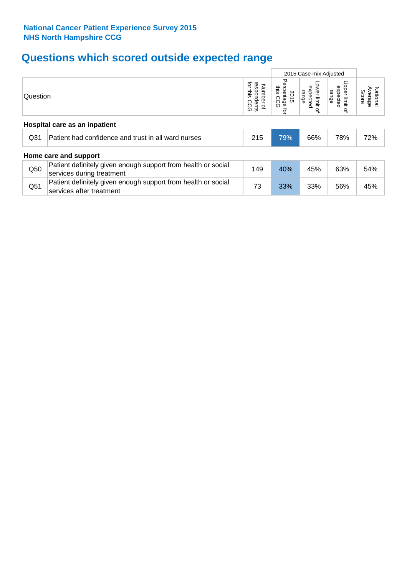# **Questions which scored outside expected range**

|                               |                                                                                            | 2015 Case-mix Adjusted |                                            |                                              |                                       |                              |  |  |  |  |
|-------------------------------|--------------------------------------------------------------------------------------------|------------------------|--------------------------------------------|----------------------------------------------|---------------------------------------|------------------------------|--|--|--|--|
| Question                      |                                                                                            |                        | Percentage<br>inis<br>2015<br>CC<br>۵<br>ą | Lower limit<br>expected<br>range<br>$\Omega$ | Upper limit<br>expected<br>range<br>₽ | National<br>Average<br>Score |  |  |  |  |
| Hospital care as an inpatient |                                                                                            |                        |                                            |                                              |                                       |                              |  |  |  |  |
| Q <sub>31</sub>               | Patient had confidence and trust in all ward nurses                                        | 215                    | 79%                                        | 66%                                          | 78%                                   | 72%                          |  |  |  |  |
|                               | Home care and support                                                                      |                        |                                            |                                              |                                       |                              |  |  |  |  |
| Q50                           | Patient definitely given enough support from health or social<br>services during treatment | 149                    | 40%                                        | 45%                                          | 63%                                   | 54%                          |  |  |  |  |
| Q51                           | Patient definitely given enough support from health or social<br>services after treatment  | 73                     | 33%                                        | 33%                                          | 56%                                   | 45%                          |  |  |  |  |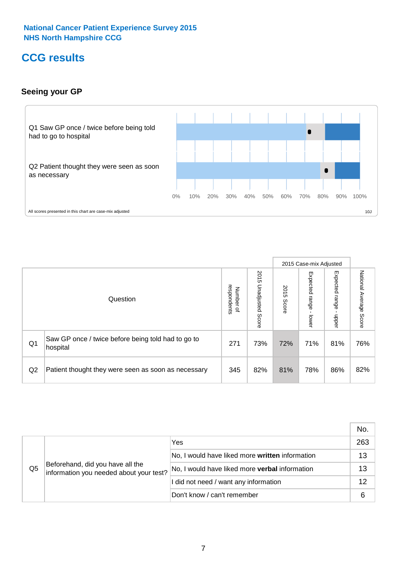# **CCG results**

# **Seeing your GP**



|    |                                                                |                                                     |                             |               | 2015 Case-mix Adjusted     |                            |                           |
|----|----------------------------------------------------------------|-----------------------------------------------------|-----------------------------|---------------|----------------------------|----------------------------|---------------------------|
|    | Question                                                       | respondents<br><b>Number</b><br>$\overline{\sigma}$ | 2015<br>Unadjusted<br>Score | 2015<br>Score | Expected<br>range<br>lower | Expected<br>range<br>nbber | National Average<br>Score |
| Q1 | Saw GP once / twice before being told had to go to<br>hospital | 271                                                 | 73%                         | 72%           | 71%                        | 81%                        | 76%                       |
| Q2 | Patient thought they were seen as soon as necessary            | 345                                                 | 82%                         | 81%           | 78%                        | 86%                        | 82%                       |

|    |                                                                             |                                                 | No. |
|----|-----------------------------------------------------------------------------|-------------------------------------------------|-----|
|    | Beforehand, did you have all the<br>information you needed about your test? | Yes                                             | 263 |
|    |                                                                             | No, I would have liked more written information | 13  |
| Q5 |                                                                             | No, I would have liked more verbal information  | 13  |
|    |                                                                             | I did not need / want any information           | 12  |
|    |                                                                             | Don't know / can't remember                     | 6   |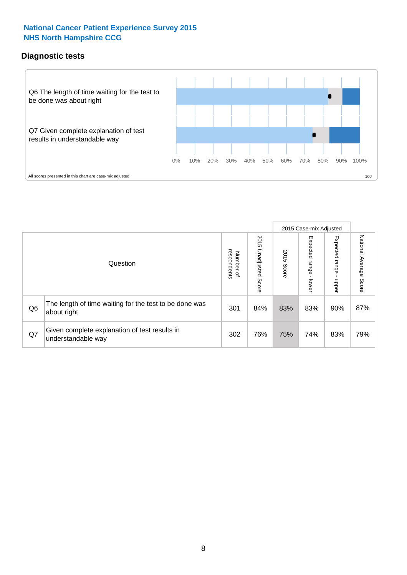### **Diagnostic tests**



|                |                                                                       |                                   |                             |               | 2015 Case-mix Adjusted  |                         |                           |
|----------------|-----------------------------------------------------------------------|-----------------------------------|-----------------------------|---------------|-------------------------|-------------------------|---------------------------|
|                | Question                                                              | respondents<br>Number<br>$\Omega$ | 2015<br>Unadjusted<br>Score | 2015<br>Score | Expected range<br>lower | Expected range<br>nbber | National Average<br>Score |
| Q <sub>6</sub> | The length of time waiting for the test to be done was<br>about right | 301                               | 84%                         | 83%           | 83%                     | 90%                     | 87%                       |
| Q7             | Given complete explanation of test results in<br>understandable way   | 302                               | 76%                         | 75%           | 74%                     | 83%                     | 79%                       |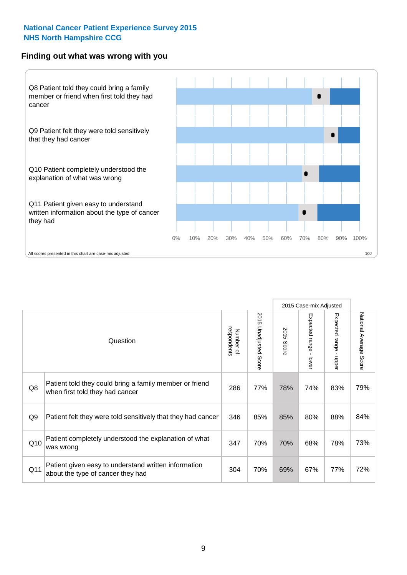#### **Finding out what was wrong with you**



|                |                                                                                            |                          |                                 |                      | 2015 Case-mix Adjusted                    |                                         |                        |
|----------------|--------------------------------------------------------------------------------------------|--------------------------|---------------------------------|----------------------|-------------------------------------------|-----------------------------------------|------------------------|
|                | Question                                                                                   | respondents<br>Number of | 2015<br><b>Unadjusted Score</b> | 2015<br><b>Score</b> | Expected range<br>$\blacksquare$<br>lower | Expected range<br>$\blacksquare$<br>ddo | National Average Score |
| Q8             | Patient told they could bring a family member or friend<br>when first told they had cancer | 286                      | 77%                             | 78%                  | 74%                                       | 83%                                     | 79%                    |
| Q <sub>9</sub> | Patient felt they were told sensitively that they had cancer                               | 346                      | 85%                             | 85%                  | 80%                                       | 88%                                     | 84%                    |
| Q10            | Patient completely understood the explanation of what<br>was wrong                         | 347                      | 70%                             | 70%                  | 68%                                       | 78%                                     | 73%                    |
| Q11            | Patient given easy to understand written information<br>about the type of cancer they had  | 304                      | 70%                             | 69%                  | 67%                                       | 77%                                     | 72%                    |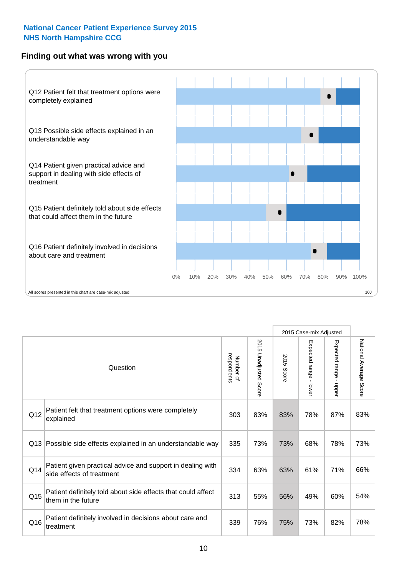### **Finding out what was wrong with you**



|                 |                                                                                         |                          |                       |            | 2015 Case-mix Adjusted                  |                           |                        |
|-----------------|-----------------------------------------------------------------------------------------|--------------------------|-----------------------|------------|-----------------------------------------|---------------------------|------------------------|
| Question        |                                                                                         | respondents<br>Number of | 2015 Unadjusted Score | 2015 Score | Expected range<br>$\mathbf{r}$<br>lower | Expected range -<br>nbber | National Average Score |
| Q12             | Patient felt that treatment options were completely<br>explained                        | 303                      | 83%                   | 83%        | 78%                                     | 87%                       | 83%                    |
| Q13             | Possible side effects explained in an understandable way                                | 335                      | 73%                   | 73%        | 68%                                     | 78%                       | 73%                    |
| Q14             | Patient given practical advice and support in dealing with<br>side effects of treatment | 334                      | 63%                   | 63%        | 61%                                     | 71%                       | 66%                    |
| Q <sub>15</sub> | Patient definitely told about side effects that could affect<br>them in the future      | 313                      | 55%                   | 56%        | 49%                                     | 60%                       | 54%                    |
| Q16             | Patient definitely involved in decisions about care and<br>treatment                    | 339                      | 76%                   | 75%        | 73%                                     | 82%                       | 78%                    |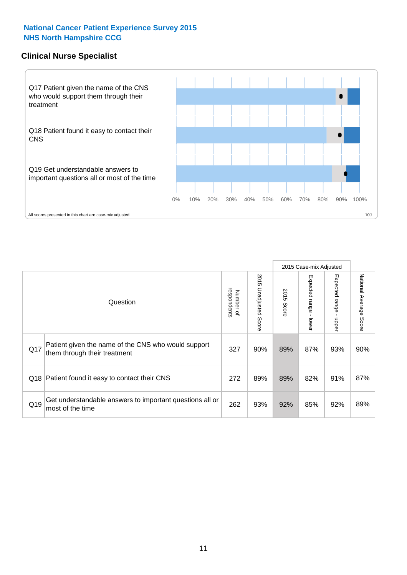### **Clinical Nurse Specialist**



|     |                                                                                     |                          |                       |               | 2015 Case-mix Adjusted  |                         |                                  |
|-----|-------------------------------------------------------------------------------------|--------------------------|-----------------------|---------------|-------------------------|-------------------------|----------------------------------|
|     | Question                                                                            | respondents<br>Number of | 2015 Unadjusted Score | 2015<br>Score | Expected range<br>lower | Expected range<br>nbber | National Average<br><b>Score</b> |
| Q17 | Patient given the name of the CNS who would support<br>them through their treatment | 327                      | 90%                   | 89%           | 87%                     | 93%                     | 90%                              |
|     | Q18 Patient found it easy to contact their CNS                                      | 272                      | 89%                   | 89%           | 82%                     | 91%                     | 87%                              |
| Q19 | Get understandable answers to important questions all or<br>most of the time        | 262                      | 93%                   | 92%           | 85%                     | 92%                     | 89%                              |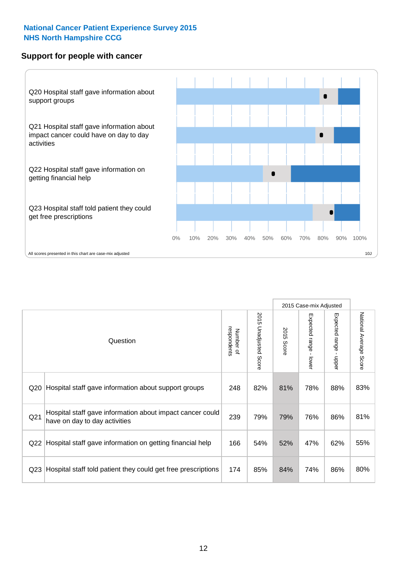### **Support for people with cancer**



|                 |                                                                                            |                          |                             |               | 2015 Case-mix Adjusted  |                                         |                        |
|-----------------|--------------------------------------------------------------------------------------------|--------------------------|-----------------------------|---------------|-------------------------|-----------------------------------------|------------------------|
|                 | Question                                                                                   | respondents<br>Number of | 2015<br>Unadjusted<br>Score | 2015<br>Score | Expected range<br>lower | Expected range<br>$\mathbf{I}$<br>nbber | National Average Score |
| Q <sub>20</sub> | Hospital staff gave information about support groups                                       | 248                      | 82%                         | 81%           | 78%                     | 88%                                     | 83%                    |
| Q <sub>21</sub> | Hospital staff gave information about impact cancer could<br>have on day to day activities | 239                      | 79%                         | 79%           | 76%                     | 86%                                     | 81%                    |
| Q22             | Hospital staff gave information on getting financial help                                  | 166                      | 54%                         | 52%           | 47%                     | 62%                                     | 55%                    |
| Q <sub>23</sub> | Hospital staff told patient they could get free prescriptions                              | 174                      | 85%                         | 84%           | 74%                     | 86%                                     | 80%                    |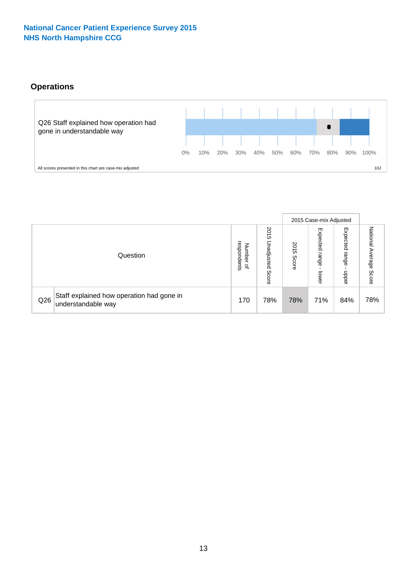# **Operations**



|     |                                                                 |                                         |                             |                    | 2015 Case-mix Adjusted     |                            |                              |
|-----|-----------------------------------------------------------------|-----------------------------------------|-----------------------------|--------------------|----------------------------|----------------------------|------------------------------|
|     | Question                                                        | respondents<br>Number<br>$\overline{a}$ | 2015<br>Unadjusted<br>Score | 201<br>CΠ<br>Score | Expected<br>range<br>lower | Expected<br>range<br>doper | National<br>Average<br>Score |
| Q26 | Staff explained how operation had gone in<br>understandable way | 170                                     | 78%                         | 78%                | 71%                        | 84%                        | 78%                          |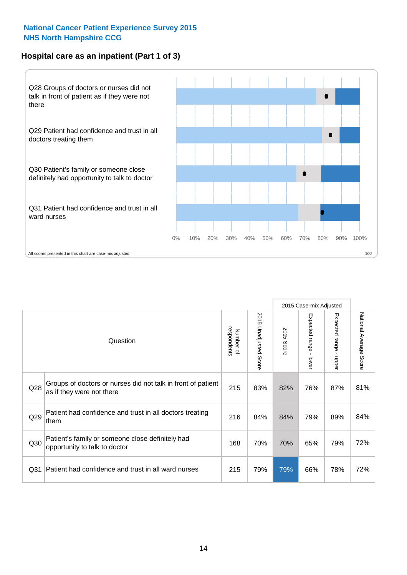## **Hospital care as an inpatient (Part 1 of 3)**



All scores presented in this chart are case-mix adjusted  $10J$ 

|                 |                                                                                           |                          |                       |                      | 2015 Case-mix Adjusted                    |                                         |                        |
|-----------------|-------------------------------------------------------------------------------------------|--------------------------|-----------------------|----------------------|-------------------------------------------|-----------------------------------------|------------------------|
|                 | Question                                                                                  | respondents<br>Number of | 2015 Unadjusted Score | 2015<br><b>Score</b> | Expected range<br>$\blacksquare$<br>lower | Expected range<br>$\mathbf{I}$<br>nbber | National Average Score |
| Q28             | Groups of doctors or nurses did not talk in front of patient<br>as if they were not there | 215                      | 83%                   | 82%                  | 76%                                       | 87%                                     | 81%                    |
| Q29             | Patient had confidence and trust in all doctors treating<br>them                          | 216                      | 84%                   | 84%                  | 79%                                       | 89%                                     | 84%                    |
| Q30             | Patient's family or someone close definitely had<br>opportunity to talk to doctor         | 168                      | 70%                   | 70%                  | 65%                                       | 79%                                     | 72%                    |
| Q <sub>31</sub> | Patient had confidence and trust in all ward nurses                                       | 215                      | 79%                   | 79%                  | 66%                                       | 78%                                     | 72%                    |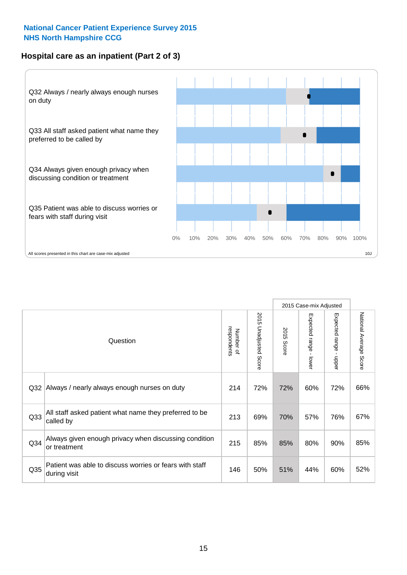# **Hospital care as an inpatient (Part 2 of 3)**



|                 |                                                                         |                          |                                 |               |                                           | 2015 Case-mix Adjusted |                        |
|-----------------|-------------------------------------------------------------------------|--------------------------|---------------------------------|---------------|-------------------------------------------|------------------------|------------------------|
|                 | Question                                                                | respondents<br>Number of | 2015<br><b>Unadjusted Score</b> | 2015<br>Score | Expected range<br>$\blacksquare$<br>lower | Expected range - upper | National Average Score |
| Q <sub>32</sub> | Always / nearly always enough nurses on duty                            | 214                      | 72%                             | 72%           | 60%                                       | 72%                    | 66%                    |
| Q <sub>33</sub> | All staff asked patient what name they preferred to be<br>called by     | 213                      | 69%                             | 70%           | 57%                                       | 76%                    | 67%                    |
| Q <sub>34</sub> | Always given enough privacy when discussing condition<br>or treatment   | 215                      | 85%                             | 85%           | 80%                                       | 90%                    | 85%                    |
| Q35             | Patient was able to discuss worries or fears with staff<br>during visit | 146                      | 50%                             | 51%           | 44%                                       | 60%                    | 52%                    |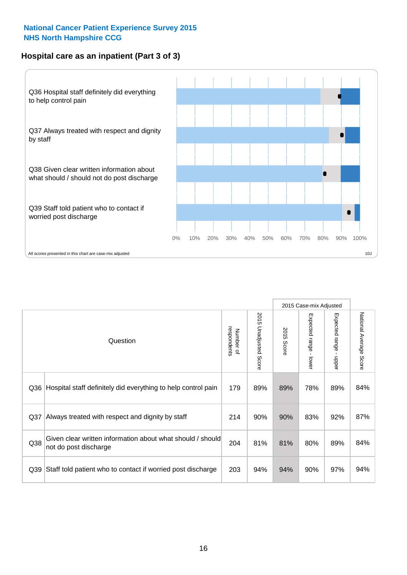# **Hospital care as an inpatient (Part 3 of 3)**



|                 |                                                                                     |                          |                                 |               | 2015 Case-mix Adjusted                    |                           |                        |
|-----------------|-------------------------------------------------------------------------------------|--------------------------|---------------------------------|---------------|-------------------------------------------|---------------------------|------------------------|
|                 | Question                                                                            | Number of<br>respondents | 2015<br><b>Unadjusted Score</b> | 2015<br>Score | Expected range<br>$\blacksquare$<br>lower | Expected range -<br>nbber | National Average Score |
| Q36             | Hospital staff definitely did everything to help control pain                       | 179                      | 89%                             | 89%           | 78%                                       | 89%                       | 84%                    |
| Q <sub>37</sub> | Always treated with respect and dignity by staff                                    | 214                      | 90%                             | 90%           | 83%                                       | 92%                       | 87%                    |
| Q38             | Given clear written information about what should / should<br>not do post discharge | 204                      | 81%                             | 81%           | 80%                                       | 89%                       | 84%                    |
| Q39             | Staff told patient who to contact if worried post discharge                         | 203                      | 94%                             | 94%           | 90%                                       | 97%                       | 94%                    |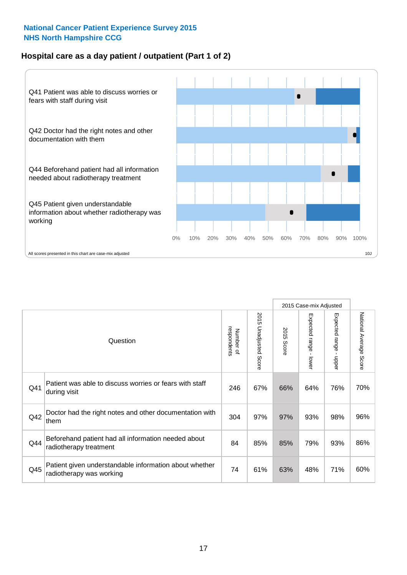## **Hospital care as a day patient / outpatient (Part 1 of 2)**



|     |                                                                                    |                          |                          |               | 2015 Case-mix Adjusted  |                                           |                        |
|-----|------------------------------------------------------------------------------------|--------------------------|--------------------------|---------------|-------------------------|-------------------------------------------|------------------------|
|     | Question                                                                           | respondents<br>Number of | 2015<br>Unadjusted Score | 2015<br>Score | Expected range<br>lower | Expected range<br>$\blacksquare$<br>nbber | National Average Score |
| Q41 | Patient was able to discuss worries or fears with staff<br>during visit            | 246                      | 67%                      | 66%           | 64%                     | 76%                                       | 70%                    |
| Q42 | Doctor had the right notes and other documentation with<br>them                    | 304                      | 97%                      | 97%           | 93%                     | 98%                                       | 96%                    |
| Q44 | Beforehand patient had all information needed about<br>radiotherapy treatment      | 84                       | 85%                      | 85%           | 79%                     | 93%                                       | 86%                    |
| Q45 | Patient given understandable information about whether<br>radiotherapy was working | 74                       | 61%                      | 63%           | 48%                     | 71%                                       | 60%                    |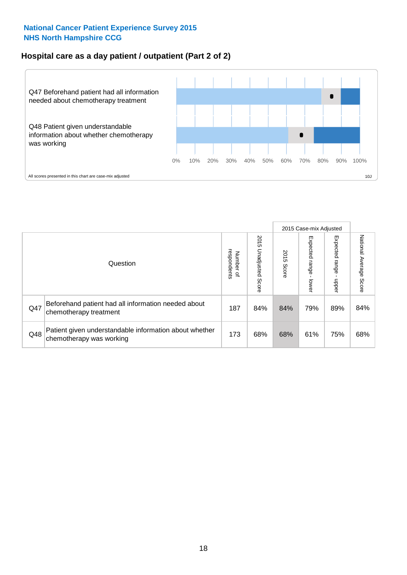### **Hospital care as a day patient / outpatient (Part 2 of 2)**



|     |                                                                                    |                                       |                             |               |                             | 2015 Case-mix Adjusted  |                           |
|-----|------------------------------------------------------------------------------------|---------------------------------------|-----------------------------|---------------|-----------------------------|-------------------------|---------------------------|
|     | Question                                                                           | respondents<br>Number<br>$\mathbf{Q}$ | 2015<br>Unadjusted<br>Score | 2015<br>Score | Expected<br>Irange<br>lower | Expected range<br>doper | National Average<br>Score |
| Q47 | Beforehand patient had all information needed about<br>chemotherapy treatment      | 187                                   | 84%                         | 84%           | 79%                         | 89%                     | 84%                       |
| Q48 | Patient given understandable information about whether<br>chemotherapy was working | 173                                   | 68%                         | 68%           | 61%                         | 75%                     | 68%                       |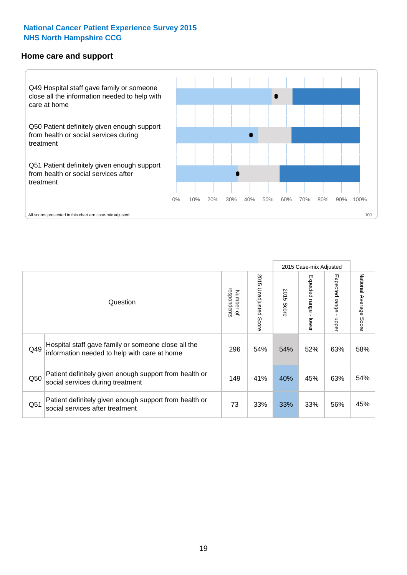#### **Home care and support**



2015 Case-mix Adjusted 2015 Unadjusted Score Expected range - upper National Average Score 2015 Unadjusted Score Expected range - lower National Average Score Expected range - lower Expected range - upper Number of<br>respondents respondents 2015 Score 2015 Score Number of Question Hospital staff gave family or someone close all the  $Q49$  information needed to help with care at home  $Q49$  |  $54\%$  |  $54\%$  |  $52\%$  |  $63\%$  |  $58\%$ Patient definitely given enough support from health or  $\frac{149}{\pi}$  social services during treatment  $\frac{149}{\pi}$  and  $\frac{149}{\pi}$  and  $\frac{40\%}{\pi}$  and  $\frac{45\%}{\pi}$  63% 54% Patient definitely given enough support from health or Q51 social services after treatment<br>
Q51 social services after treatment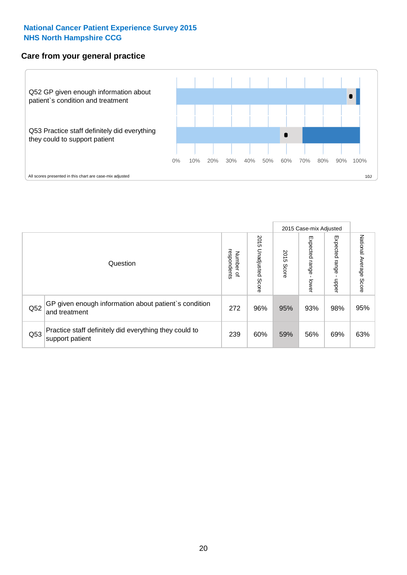### **Care from your general practice**



|     |                                                                           |                                       |                             |               |                             | 2015 Case-mix Adjusted       |                           |
|-----|---------------------------------------------------------------------------|---------------------------------------|-----------------------------|---------------|-----------------------------|------------------------------|---------------------------|
|     | Question                                                                  | respondents<br>Number<br>$\mathbf{Q}$ | 2015<br>Unadjusted<br>Score | 2015<br>Score | Expected<br>Irange<br>lower | Expected<br>  range<br>doper | National Average<br>Score |
| Q52 | GP given enough information about patient's condition<br>and treatment    | 272                                   | 96%                         | 95%           | 93%                         | 98%                          | 95%                       |
| Q53 | Practice staff definitely did everything they could to<br>support patient | 239                                   | 60%                         | 59%           | 56%                         | 69%                          | 63%                       |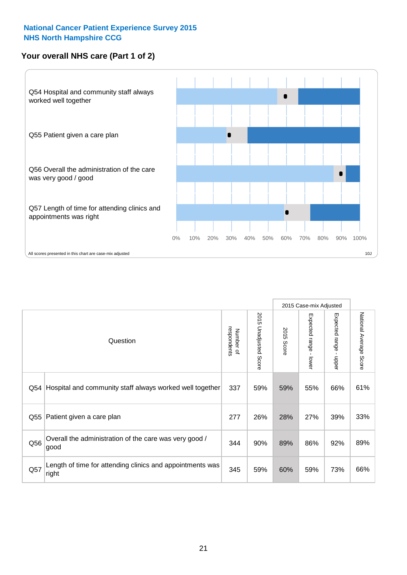# **Your overall NHS care (Part 1 of 2)**



|     |                                                                    |                          |                          |               | 2015 Case-mix Adjusted                    |                                           |                        |
|-----|--------------------------------------------------------------------|--------------------------|--------------------------|---------------|-------------------------------------------|-------------------------------------------|------------------------|
|     | Question                                                           | respondents<br>Number of | 2015<br>Unadjusted Score | 2015<br>Score | Expected range<br>$\blacksquare$<br>lower | Expected range<br>$\blacksquare$<br>nbber | National Average Score |
| Q54 | Hospital and community staff always worked well together           | 337                      | 59%                      | 59%           | 55%                                       | 66%                                       | 61%                    |
| Q55 | Patient given a care plan                                          | 277                      | 26%                      | 28%           | 27%                                       | 39%                                       | 33%                    |
| Q56 | Overall the administration of the care was very good /<br>good     | 344                      | 90%                      | 89%           | 86%                                       | 92%                                       | 89%                    |
| Q57 | Length of time for attending clinics and appointments was<br>right | 345                      | 59%                      | 60%           | 59%                                       | 73%                                       | 66%                    |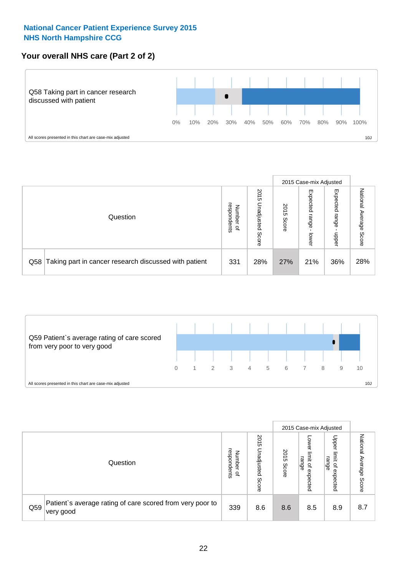# **Your overall NHS care (Part 2 of 2)**



|     |                                                       |                                         |                             |               | 2015 Case-mix Adjusted     |                            |                           |
|-----|-------------------------------------------------------|-----------------------------------------|-----------------------------|---------------|----------------------------|----------------------------|---------------------------|
|     | Question                                              | respondents<br>Number<br>$\overline{a}$ | 2015<br>Unadjusted<br>Score | 2015<br>Score | Expected<br>range<br>lower | Expected<br>range<br>doper | National<br>Average Score |
| Q58 | Taking part in cancer research discussed with patient | 331                                     | 28%                         | 27%           | 21%                        | 36%                        | 28%                       |



|     |                                                                        |                                   |                             |               |                                         | 2015 Case-mix Adjusted                                |                              |
|-----|------------------------------------------------------------------------|-----------------------------------|-----------------------------|---------------|-----------------------------------------|-------------------------------------------------------|------------------------------|
|     | Question                                                               | respondents<br>Number<br>$\Omega$ | 2015<br>Unadjusted<br>Score | 2015<br>Score | OWer<br>limit<br>range<br>٩<br>expected | Upper<br>limit<br>range<br>$\overline{a}$<br>expected | National<br>Average<br>Score |
| Q59 | Patient's average rating of care scored from very poor to<br>very good | 339                               | 8.6                         | 8.6           | 8.5                                     | 8.9                                                   | 8.7                          |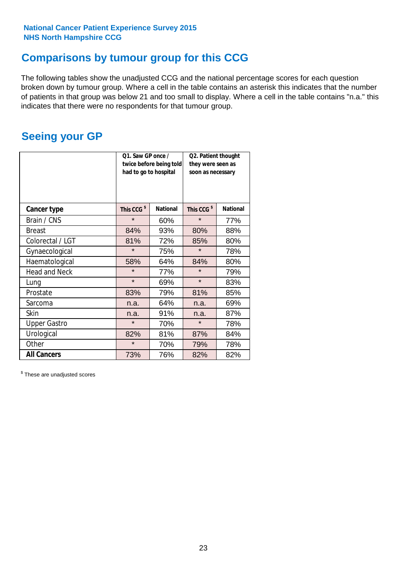# **Comparisons by tumour group for this CCG**

The following tables show the unadjusted CCG and the national percentage scores for each question broken down by tumour group. Where a cell in the table contains an asterisk this indicates that the number of patients in that group was below 21 and too small to display. Where a cell in the table contains "n.a." this indicates that there were no respondents for that tumour group.

# **Seeing your GP**

|                      | Q1. Saw GP once /<br>had to go to hospital | twice before being told | Q2. Patient thought<br>they were seen as<br>soon as necessary |                 |  |
|----------------------|--------------------------------------------|-------------------------|---------------------------------------------------------------|-----------------|--|
| <b>Cancer type</b>   | This CCG <sup>\$</sup>                     | <b>National</b>         | This CCG <sup>\$</sup>                                        | <b>National</b> |  |
| Brain / CNS          | $\star$                                    | 60%                     | $\star$                                                       | 77%             |  |
| <b>Breast</b>        | 84%                                        | 93%                     | 80%                                                           | 88%             |  |
| Colorectal / LGT     | 81%                                        | 72%                     | 85%                                                           | 80%             |  |
| Gynaecological       | $\star$                                    | 75%                     | $\star$                                                       | 78%             |  |
| Haematological       | 58%                                        | 64%                     | 84%                                                           | 80%             |  |
| <b>Head and Neck</b> | $\star$                                    | 77%                     | $\star$                                                       | 79%             |  |
| Lung                 | $\star$                                    | 69%                     | $\star$                                                       | 83%             |  |
| Prostate             | 83%                                        | 79%                     | 81%                                                           | 85%             |  |
| Sarcoma              | n.a.                                       | 64%                     | n.a.                                                          | 69%             |  |
| Skin                 | n.a.                                       | 91%                     | n.a.                                                          | 87%             |  |
| <b>Upper Gastro</b>  | $\star$                                    | 70%                     | $\star$                                                       | 78%             |  |
| Urological           | 82%                                        | 81%                     | 87%                                                           | 84%             |  |
| Other                | $\star$                                    | 70%                     | 79%                                                           | 78%             |  |
| <b>All Cancers</b>   | 73%                                        | 76%                     | 82%                                                           | 82%             |  |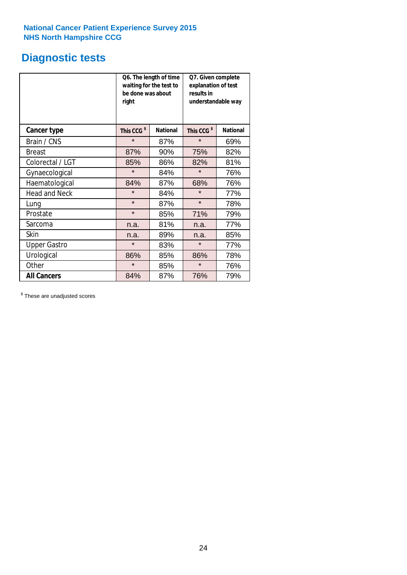# **Diagnostic tests**

|                      | be done was about<br>right | Q6. The length of time<br>waiting for the test to | Q7. Given complete<br>explanation of test<br>results in<br>understandable way |                 |  |  |
|----------------------|----------------------------|---------------------------------------------------|-------------------------------------------------------------------------------|-----------------|--|--|
| <b>Cancer type</b>   | This CCG <sup>\$</sup>     | <b>National</b>                                   | This CCG <sup>\$</sup>                                                        | <b>National</b> |  |  |
| Brain / CNS          | $\star$                    | 87%                                               | $\star$                                                                       | 69%             |  |  |
| <b>Breast</b>        | 87%                        | 90%                                               | 75%                                                                           | 82%             |  |  |
| Colorectal / LGT     | 85%                        | 86%                                               | 82%                                                                           | 81%             |  |  |
| Gynaecological       | $\star$                    | 84%                                               | $\star$                                                                       | 76%             |  |  |
| Haematological       | 84%                        | 87%                                               | 68%                                                                           | 76%             |  |  |
| <b>Head and Neck</b> | $\star$                    | 84%                                               | $\star$                                                                       | 77%             |  |  |
| Lung                 | $\star$                    | 87%                                               | $\star$                                                                       | 78%             |  |  |
| Prostate             | $\star$                    | 85%                                               | 71%                                                                           | 79%             |  |  |
| Sarcoma              | n.a.                       | 81%                                               | n.a.                                                                          | 77%             |  |  |
| Skin                 | n.a.                       | 89%                                               | n.a.                                                                          | 85%             |  |  |
| <b>Upper Gastro</b>  | $\star$                    | 83%                                               | $\star$                                                                       | 77%             |  |  |
| Urological           | 86%                        | 85%                                               | 86%                                                                           | 78%             |  |  |
| Other                | $\star$                    | 85%                                               | $\star$                                                                       | 76%             |  |  |
| <b>All Cancers</b>   | 84%                        | 87%                                               | 76%                                                                           | 79%             |  |  |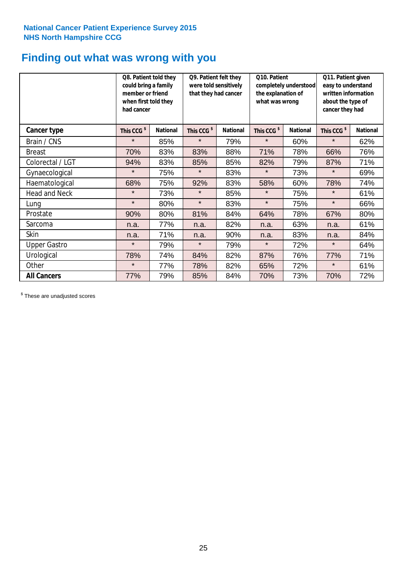# **Finding out what was wrong with you**

|                      | Q8. Patient told they<br>could bring a family<br>member or friend<br>when first told they<br>had cancer |                 | Q9. Patient felt they<br>were told sensitively<br>that they had cancer |                 | Q10. Patient<br>completely understood<br>the explanation of<br>what was wrong |                 | Q11. Patient given<br>easy to understand<br>written information<br>about the type of<br>cancer they had |                 |
|----------------------|---------------------------------------------------------------------------------------------------------|-----------------|------------------------------------------------------------------------|-----------------|-------------------------------------------------------------------------------|-----------------|---------------------------------------------------------------------------------------------------------|-----------------|
| Cancer type          | This CCG <sup>\$</sup>                                                                                  | <b>National</b> | This CCG <sup>\$</sup>                                                 | <b>National</b> | This CCG <sup>\$</sup>                                                        | <b>National</b> | This CCG <sup>\$</sup>                                                                                  | <b>National</b> |
| Brain / CNS          | $\star$                                                                                                 | 85%             | $\star$                                                                | 79%             | $\star$                                                                       | 60%             | $\star$                                                                                                 | 62%             |
| <b>Breast</b>        | 70%                                                                                                     | 83%             | 83%                                                                    | 88%             | 71%                                                                           | 78%             | 66%                                                                                                     | 76%             |
| Colorectal / LGT     | 94%                                                                                                     | 83%             | 85%                                                                    | 85%             | 82%                                                                           | 79%             | 87%                                                                                                     | 71%             |
| Gynaecological       | $\star$                                                                                                 | 75%             | $\star$                                                                | 83%             | $\star$                                                                       | 73%             | $\star$                                                                                                 | 69%             |
| Haematological       | 68%                                                                                                     | 75%             | 92%                                                                    | 83%             | 58%                                                                           | 60%             | 78%                                                                                                     | 74%             |
| <b>Head and Neck</b> | $\star$                                                                                                 | 73%             | $\star$                                                                | 85%             | $\star$                                                                       | 75%             | $\star$                                                                                                 | 61%             |
| Lung                 | $\star$                                                                                                 | 80%             | $\star$                                                                | 83%             | $\star$                                                                       | 75%             | $\star$                                                                                                 | 66%             |
| Prostate             | 90%                                                                                                     | 80%             | 81%                                                                    | 84%             | 64%                                                                           | 78%             | 67%                                                                                                     | 80%             |
| Sarcoma              | n.a.                                                                                                    | 77%             | n.a.                                                                   | 82%             | n.a.                                                                          | 63%             | n.a.                                                                                                    | 61%             |
| Skin                 | n.a.                                                                                                    | 71%             | n.a.                                                                   | 90%             | n.a.                                                                          | 83%             | n.a.                                                                                                    | 84%             |
| <b>Upper Gastro</b>  | $\star$                                                                                                 | 79%             | $\star$                                                                | 79%             | $\star$                                                                       | 72%             | $\star$                                                                                                 | 64%             |
| Urological           | 78%                                                                                                     | 74%             | 84%                                                                    | 82%             | 87%                                                                           | 76%             | 77%                                                                                                     | 71%             |
| Other                | $\star$                                                                                                 | 77%             | 78%                                                                    | 82%             | 65%                                                                           | 72%             | $\star$                                                                                                 | 61%             |
| <b>All Cancers</b>   | 77%                                                                                                     | 79%             | 85%                                                                    | 84%             | 70%                                                                           | 73%             | 70%                                                                                                     | 72%             |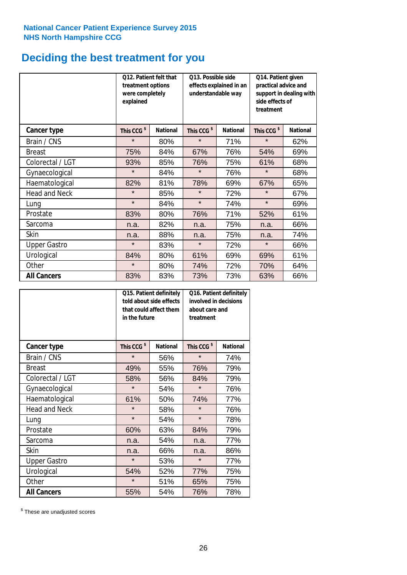# **Deciding the best treatment for you**

|                      | <b>Q12. Patient felt that</b><br>treatment options<br>were completely<br>explained |                 | Q13. Possible side<br>understandable way | effects explained in an | Q14. Patient given<br>practical advice and<br>support in dealing with<br>side effects of<br>treatment |                 |  |
|----------------------|------------------------------------------------------------------------------------|-----------------|------------------------------------------|-------------------------|-------------------------------------------------------------------------------------------------------|-----------------|--|
| <b>Cancer type</b>   | This CCG <sup>\$</sup>                                                             | <b>National</b> | This CCG <sup>\$</sup>                   | <b>National</b>         | This CCG <sup>\$</sup>                                                                                | <b>National</b> |  |
| Brain / CNS          | $\star$                                                                            | 80%             | $\star$                                  | 71%                     | $\star$                                                                                               | 62%             |  |
| <b>Breast</b>        | 75%                                                                                | 84%             | 67%                                      | 76%                     | 54%                                                                                                   | 69%             |  |
| Colorectal / LGT     | 93%                                                                                | 85%             | 76%                                      | 75%                     | 61%                                                                                                   | 68%             |  |
| Gynaecological       | $\star$                                                                            | 84%             | $\star$                                  | 76%                     | $\star$                                                                                               | 68%             |  |
| Haematological       | 82%                                                                                | 81%             | 78%                                      | 69%                     | 67%                                                                                                   | 65%             |  |
| <b>Head and Neck</b> | $\star$                                                                            | 85%             | $\star$                                  | 72%                     | $\star$                                                                                               | 67%             |  |
| Lung                 | $\star$                                                                            | 84%             | $\star$                                  | 74%                     | $\star$                                                                                               | 69%             |  |
| Prostate             | 83%                                                                                | 80%             | 76%                                      | 71%                     | 52%                                                                                                   | 61%             |  |
| Sarcoma              | n.a.                                                                               | 82%             | n.a.                                     | 75%                     | n.a.                                                                                                  | 66%             |  |
| Skin                 | n.a.                                                                               | 88%             | n.a.                                     | 75%                     | n.a.                                                                                                  | 74%             |  |
| <b>Upper Gastro</b>  | $\star$                                                                            | 83%             | $\star$                                  | 72%                     | $\star$                                                                                               | 66%             |  |
| Urological           | 84%                                                                                | 80%             | 61%                                      | 69%                     | 69%                                                                                                   | 61%             |  |
| Other                | $\star$                                                                            | 80%             | 74%<br>72%                               |                         | 70%                                                                                                   | 64%             |  |
| <b>All Cancers</b>   | 83%                                                                                | 83%             | 73%                                      | 73%                     | 63%                                                                                                   | 66%             |  |

|                      | in the future          | Q15. Patient definitely<br>told about side effects<br>that could affect them | Q16. Patient definitely<br>involved in decisions<br>about care and<br>treatment |                 |  |
|----------------------|------------------------|------------------------------------------------------------------------------|---------------------------------------------------------------------------------|-----------------|--|
| <b>Cancer type</b>   | This CCG <sup>\$</sup> | <b>National</b>                                                              | This CCG <sup>\$</sup>                                                          | <b>National</b> |  |
| Brain / CNS          | $\star$                | 56%                                                                          | $\star$                                                                         | 74%             |  |
| <b>Breast</b>        | 49%                    | 55%                                                                          | 76%                                                                             | 79%             |  |
| Colorectal / LGT     | 58%                    | 56%                                                                          | 84%                                                                             | 79%             |  |
| Gynaecological       | $\star$                | 54%                                                                          | $\star$                                                                         | 76%             |  |
| Haematological       | 61%<br>50%             |                                                                              | 74%                                                                             | 77%             |  |
| <b>Head and Neck</b> | $\star$                | 58%                                                                          | $\star$                                                                         | 76%             |  |
| Lung                 | $\star$                | 54%                                                                          | $\star$                                                                         | 78%             |  |
| Prostate             | 60%                    | 63%                                                                          | 84%                                                                             | 79%             |  |
| Sarcoma              | n.a.                   | 54%                                                                          | n.a.                                                                            | 77%             |  |
| <b>Skin</b>          | n.a.                   | 66%                                                                          | n.a.                                                                            | 86%             |  |
| <b>Upper Gastro</b>  | $\star$                | 53%                                                                          | $\star$                                                                         | 77%             |  |
| Urological           | 54%                    | 52%                                                                          | 77%                                                                             | 75%             |  |
| Other                | $\star$                | 51%                                                                          | 65%                                                                             | 75%             |  |
| <b>All Cancers</b>   | 55%                    | 54%                                                                          | 76%                                                                             | 78%             |  |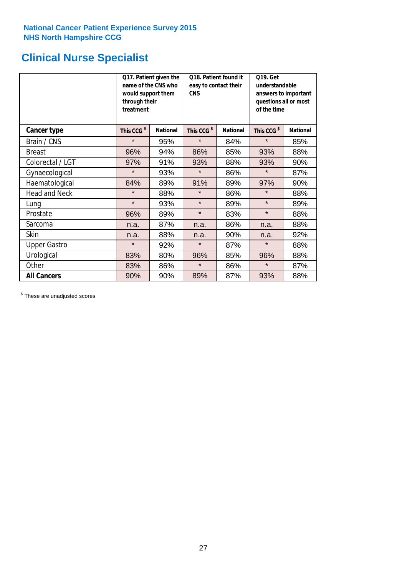# **Clinical Nurse Specialist**

|                      | would support them<br>through their<br>treatment | Q17. Patient given the<br>name of the CNS who | Q18. Patient found it<br>easy to contact their<br><b>CNS</b> |                 | <b>Q19. Get</b><br>understandable<br>answers to important<br>questions all or most<br>of the time |                 |  |
|----------------------|--------------------------------------------------|-----------------------------------------------|--------------------------------------------------------------|-----------------|---------------------------------------------------------------------------------------------------|-----------------|--|
| <b>Cancer type</b>   | This CCG <sup>\$</sup>                           | <b>National</b>                               | This CCG <sup>\$</sup>                                       | <b>National</b> | This CCG <sup>\$</sup>                                                                            | <b>National</b> |  |
| Brain / CNS          | $\star$                                          | 95%                                           | $\star$                                                      | 84%             | $\star$                                                                                           | 85%             |  |
| <b>Breast</b>        | 96%                                              | 94%                                           | 86%                                                          | 85%             | 93%                                                                                               | 88%             |  |
| Colorectal / LGT     | 97%                                              | 91%                                           | 93%                                                          | 88%             | 93%                                                                                               | 90%             |  |
| Gynaecological       | $\star$                                          | 93%                                           | $\star$                                                      | 86%             | $\star$                                                                                           | 87%             |  |
| Haematological       | 84%                                              | 89%                                           | 91%                                                          | 89%             | 97%                                                                                               | 90%             |  |
| <b>Head and Neck</b> | $\star$                                          | 88%                                           | $\star$                                                      | 86%             | $\star$                                                                                           | 88%             |  |
| Lung                 | $\star$                                          | 93%                                           | $\star$                                                      | 89%             | $\star$                                                                                           | 89%             |  |
| Prostate             | 96%                                              | 89%                                           | $\star$                                                      | 83%             | $\star$                                                                                           | 88%             |  |
| Sarcoma              | n.a.                                             | 87%                                           | n.a.                                                         | 86%             | n.a.                                                                                              | 88%             |  |
| Skin                 | n.a.                                             | 88%                                           | n.a.                                                         | 90%             | n.a.                                                                                              | 92%             |  |
| <b>Upper Gastro</b>  | $\star$                                          | 92%                                           | $\star$                                                      | 87%             | $\star$                                                                                           | 88%             |  |
| Urological           | 83%                                              | 80%                                           | 96%                                                          | 85%             | 96%                                                                                               | 88%             |  |
| Other                | 83%                                              | 86%                                           | $\star$<br>86%                                               |                 | $\star$                                                                                           | 87%             |  |
| <b>All Cancers</b>   | 90%                                              | 90%                                           | 89%                                                          | 87%             | 93%                                                                                               | 88%             |  |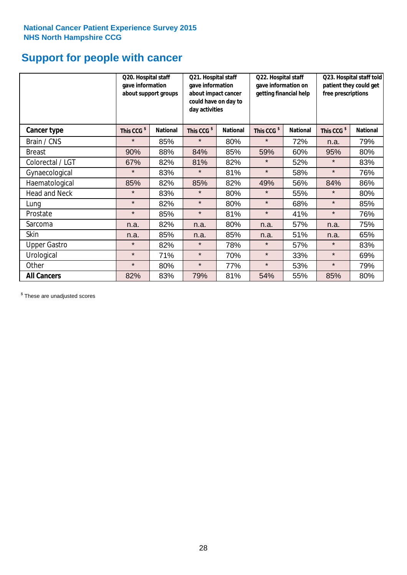# **Support for people with cancer**

|                      | Q20. Hospital staff<br>gave information | about support groups | Q21. Hospital staff<br>gave information<br>about impact cancer<br>could have on day to<br>day activities |                 | Q22. Hospital staff<br>gave information on<br>getting financial help |                 | Q23. Hospital staff told<br>patient they could get<br>free prescriptions |                 |
|----------------------|-----------------------------------------|----------------------|----------------------------------------------------------------------------------------------------------|-----------------|----------------------------------------------------------------------|-----------------|--------------------------------------------------------------------------|-----------------|
| Cancer type          | This CCG <sup>\$</sup>                  | <b>National</b>      | This CCG <sup>\$</sup>                                                                                   | <b>National</b> | This CCG <sup>\$</sup>                                               | <b>National</b> | This CCG <sup>\$</sup>                                                   | <b>National</b> |
| Brain / CNS          | $\star$                                 | 85%                  | $\star$                                                                                                  | 80%             | $\star$                                                              | 72%             | n.a.                                                                     | 79%             |
| <b>Breast</b>        | 90%                                     | 88%                  | 84%                                                                                                      | 85%             | 59%                                                                  | 60%             | 95%                                                                      | 80%             |
| Colorectal / LGT     | 67%                                     | 82%                  | 81%                                                                                                      | 82%             | $\star$                                                              | 52%             | $\star$                                                                  | 83%             |
| Gynaecological       | $\star$                                 | 83%                  | $\star$                                                                                                  | 81%             | $\star$                                                              | 58%             | $\star$                                                                  | 76%             |
| Haematological       | 85%                                     | 82%                  | 85%                                                                                                      | 82%             | 49%                                                                  | 56%             | 84%                                                                      | 86%             |
| <b>Head and Neck</b> | $\star$                                 | 83%                  | $\star$                                                                                                  | 80%             | $\star$                                                              | 55%             | $\star$                                                                  | 80%             |
| Lung                 | $\star$                                 | 82%                  | $\star$                                                                                                  | 80%             | $\star$                                                              | 68%             | $\star$                                                                  | 85%             |
| Prostate             | $\star$                                 | 85%                  | $\star$                                                                                                  | 81%             | $\star$                                                              | 41%             | $\star$                                                                  | 76%             |
| Sarcoma              | n.a.                                    | 82%                  | n.a.                                                                                                     | 80%             | n.a.                                                                 | 57%             | n.a.                                                                     | 75%             |
| Skin                 | n.a.                                    | 85%                  | n.a.                                                                                                     | 85%             | n.a.                                                                 | 51%             | n.a.                                                                     | 65%             |
| <b>Upper Gastro</b>  | $\star$                                 | 82%                  | $\star$                                                                                                  | 78%             | $\star$                                                              | 57%             | $\star$                                                                  | 83%             |
| Urological           | $\star$                                 | 71%                  | $\star$                                                                                                  | 70%             | $\star$                                                              | 33%             | $\star$                                                                  | 69%             |
| Other                | $\star$                                 | 80%                  | $\star$                                                                                                  | 77%             | $\star$                                                              | 53%             | $\star$                                                                  | 79%             |
| <b>All Cancers</b>   | 82%                                     | 83%                  | 79%                                                                                                      | 81%             | 54%                                                                  | 55%             | 85%                                                                      | 80%             |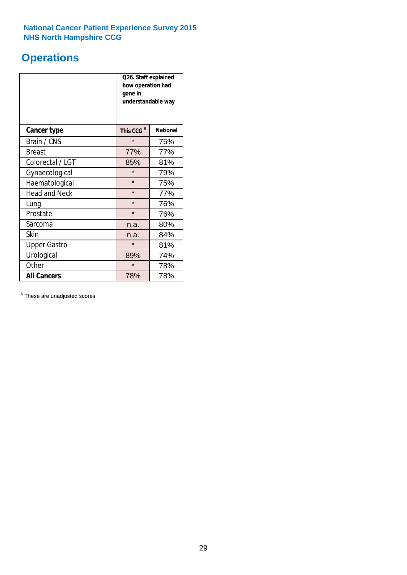# **Operations**

|                      | Q26. Staff explained<br>how operation had<br>gone in<br>understandable way |                 |  |  |
|----------------------|----------------------------------------------------------------------------|-----------------|--|--|
| <b>Cancer type</b>   | This CCG <sup>\$</sup>                                                     | <b>National</b> |  |  |
| Brain / CNS          | $\star$                                                                    | 75%             |  |  |
| <b>Breast</b>        | 77%                                                                        | 77%             |  |  |
| Colorectal / LGT     | 85%                                                                        | 81%             |  |  |
| Gynaecological       | $\star$                                                                    | 79%             |  |  |
| Haematological       | $\star$<br>75%                                                             |                 |  |  |
| <b>Head and Neck</b> | $\star$                                                                    | 77%             |  |  |
| Lung                 | $\star$                                                                    | 76%             |  |  |
| Prostate             | $\star$                                                                    | 76%             |  |  |
| Sarcoma              | n.a.                                                                       | 80%             |  |  |
| Skin                 | n.a.                                                                       | 84%             |  |  |
| <b>Upper Gastro</b>  | $\star$                                                                    | 81%             |  |  |
| Urological           | 89%                                                                        | 74%             |  |  |
| Other                | $\star$<br>78%                                                             |                 |  |  |
| <b>All Cancers</b>   | 78%                                                                        | 78%             |  |  |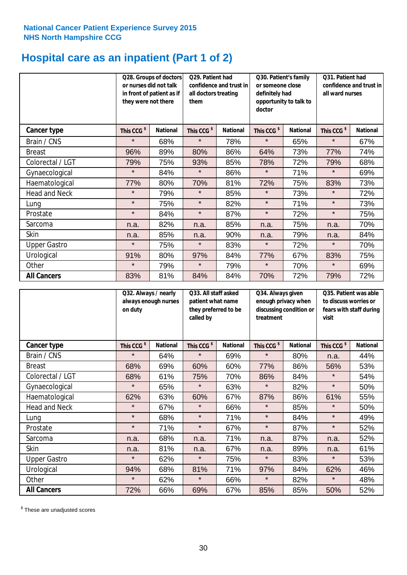# **Hospital care as an inpatient (Part 1 of 2)**

|                      | or nurses did not talk<br>they were not there | Q28. Groups of doctors<br>in front of patient as if | Q29. Patient had<br>confidence and trust in<br>all doctors treating<br>them |                 | Q30. Patient's family<br>or someone close<br>definitely had<br>opportunity to talk to<br>doctor |                 | Q31. Patient had<br>confidence and trust in I<br>all ward nurses |                 |
|----------------------|-----------------------------------------------|-----------------------------------------------------|-----------------------------------------------------------------------------|-----------------|-------------------------------------------------------------------------------------------------|-----------------|------------------------------------------------------------------|-----------------|
| Cancer type          | This CCG <sup>\$</sup>                        | <b>National</b>                                     | This CCG <sup>\$</sup>                                                      | <b>National</b> | This CCG <sup>\$</sup>                                                                          | <b>National</b> | This CCG <sup>\$</sup>                                           | <b>National</b> |
| Brain / CNS          | $\star$                                       | 68%                                                 | $\star$                                                                     | 78%             | $\star$                                                                                         | 65%             | $\star$                                                          | 67%             |
| <b>Breast</b>        | 96%                                           | 89%                                                 | 80%                                                                         | 86%             | 64%                                                                                             | 73%             | 77%                                                              | 74%             |
| Colorectal / LGT     | 79%                                           | 75%                                                 | 93%                                                                         | 85%             | 78%                                                                                             | 72%             | 79%                                                              | 68%             |
| Gynaecological       | $\star$                                       | 84%                                                 | $\star$                                                                     | 86%             | $\star$                                                                                         | 71%             | $\star$                                                          | 69%             |
| Haematological       | 77%                                           | 80%                                                 | 70%                                                                         | 81%             | 72%                                                                                             | 75%             | 83%                                                              | 73%             |
| <b>Head and Neck</b> | $\star$                                       | 79%                                                 | $\star$                                                                     | 85%             | $\star$                                                                                         | 73%             | $\star$                                                          | 72%             |
| Lung                 | $\star$                                       | 75%                                                 | $\star$                                                                     | 82%             | $\star$                                                                                         | 71%             | $\star$                                                          | 73%             |
| Prostate             | $\star$                                       | 84%                                                 | $\star$                                                                     | 87%             | $\star$                                                                                         | 72%             | $\star$                                                          | 75%             |
| Sarcoma              | n.a.                                          | 82%                                                 | n.a.                                                                        | 85%             | n.a.                                                                                            | 75%             | n.a.                                                             | 70%             |
| Skin                 | n.a.                                          | 85%                                                 | n.a.                                                                        | 90%             | n.a.                                                                                            | 79%             | n.a.                                                             | 84%             |
| <b>Upper Gastro</b>  | $\star$                                       | 75%                                                 | $\star$                                                                     | 83%             | $\star$                                                                                         | 72%             | $\star$                                                          | 70%             |
| Urological           | 91%                                           | 80%                                                 | 97%                                                                         | 84%             | 77%                                                                                             | 67%             | 83%                                                              | 75%             |
| Other                | $\star$                                       | 79%                                                 | $\star$                                                                     | 79%             | $\star$                                                                                         | 70%             | $\star$                                                          | 69%             |
| <b>All Cancers</b>   | 83%                                           | 81%                                                 | 84%                                                                         | 84%             | 70%                                                                                             | 72%             | 79%                                                              | 72%             |

|                      | Q32. Always / nearly<br>always enough nurses<br>on duty |                 | Q33. All staff asked<br>patient what name<br>they preferred to be<br>called by |                 | Q34. Always given<br>enough privacy when<br>discussing condition or<br>treatment |                 | Q35. Patient was able<br>to discuss worries or<br>fears with staff during<br>visit |                 |
|----------------------|---------------------------------------------------------|-----------------|--------------------------------------------------------------------------------|-----------------|----------------------------------------------------------------------------------|-----------------|------------------------------------------------------------------------------------|-----------------|
| <b>Cancer type</b>   | This CCG <sup>\$</sup>                                  | <b>National</b> | This CCG <sup>\$</sup>                                                         | <b>National</b> | This CCG <sup>\$</sup>                                                           | <b>National</b> | This CCG <sup>\$</sup>                                                             | <b>National</b> |
| Brain / CNS          | $\star$                                                 | 64%             | $\star$                                                                        | 69%             | $\star$                                                                          | 80%             | n.a.                                                                               | 44%             |
| <b>Breast</b>        | 68%                                                     | 69%             | 60%                                                                            | 60%             | 77%                                                                              | 86%             | 56%                                                                                | 53%             |
| Colorectal / LGT     | 68%                                                     | 61%             | 75%                                                                            | 70%             | 86%                                                                              | 84%             | $\star$                                                                            | 54%             |
| Gynaecological       | $\star$                                                 | 65%             | $\star$                                                                        | 63%             | $\star$                                                                          | 82%             | $\star$                                                                            | 50%             |
| Haematological       | 62%                                                     | 63%             | 60%                                                                            | 67%             | 87%                                                                              | 86%             | 61%                                                                                | 55%             |
| <b>Head and Neck</b> | $\star$                                                 | 67%             | $\star$                                                                        | 66%             | $\star$                                                                          | 85%             | $\star$                                                                            | 50%             |
| Lung                 | $\star$                                                 | 68%             | $\star$                                                                        | 71%             | $\star$                                                                          | 84%             | $\star$                                                                            | 49%             |
| Prostate             | $\star$                                                 | 71%             | $\star$                                                                        | 67%             | $\star$                                                                          | 87%             | $\star$                                                                            | 52%             |
| Sarcoma              | n.a.                                                    | 68%             | n.a.                                                                           | 71%             | n.a.                                                                             | 87%             | n.a.                                                                               | 52%             |
| Skin                 | n.a.                                                    | 81%             | n.a.                                                                           | 67%             | n.a.                                                                             | 89%             | n.a.                                                                               | 61%             |
| <b>Upper Gastro</b>  | $\star$                                                 | 62%             | $\star$                                                                        | 75%             | $\star$                                                                          | 83%             | $\star$                                                                            | 53%             |
| Urological           | 94%                                                     | 68%             | 81%                                                                            | 71%             | 97%                                                                              | 84%             | 62%                                                                                | 46%             |
| Other                | $\star$                                                 | 62%             | $\star$                                                                        | 66%             | $\star$                                                                          | 82%             | $\star$                                                                            | 48%             |
| <b>All Cancers</b>   | 72%                                                     | 66%             | 69%                                                                            | 67%             | 85%                                                                              | 85%             | 50%                                                                                | 52%             |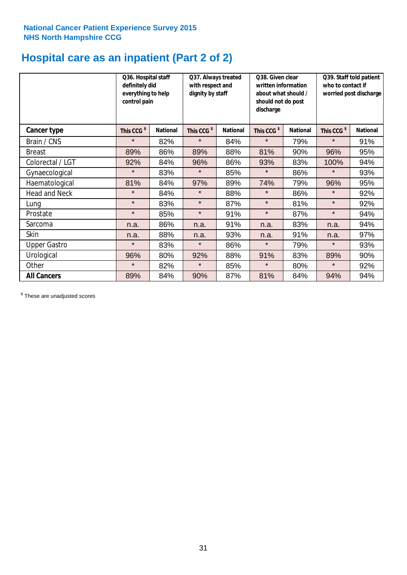# **Hospital care as an inpatient (Part 2 of 2)**

|                      | Q36. Hospital staff<br>definitely did<br>everything to help<br>control pain |                 | Q37. Always treated<br>with respect and<br>dignity by staff |                 | Q38. Given clear<br>written information<br>about what should /<br>should not do post<br>discharge |                 | Q39. Staff told patient<br>who to contact if<br>worried post discharge |                 |
|----------------------|-----------------------------------------------------------------------------|-----------------|-------------------------------------------------------------|-----------------|---------------------------------------------------------------------------------------------------|-----------------|------------------------------------------------------------------------|-----------------|
| Cancer type          | This CCG <sup>\$</sup>                                                      | <b>National</b> | This CCG <sup>\$</sup>                                      | <b>National</b> | This CCG <sup>\$</sup>                                                                            | <b>National</b> | This CCG <sup>\$</sup>                                                 | <b>National</b> |
| Brain / CNS          | $\star$                                                                     | 82%             | $\star$                                                     | 84%             | $\star$                                                                                           | 79%             | $\star$                                                                | 91%             |
| <b>Breast</b>        | 89%                                                                         | 86%             | 89%                                                         | 88%             | 81%                                                                                               | 90%             | 96%                                                                    | 95%             |
| Colorectal / LGT     | 92%                                                                         | 84%             | 96%                                                         | 86%             | 93%                                                                                               | 83%             | 100%                                                                   | 94%             |
| Gynaecological       | $\star$                                                                     | 83%             | $\star$                                                     | 85%             | $\star$                                                                                           | 86%             | $\star$                                                                | 93%             |
| Haematological       | 81%                                                                         | 84%             | 97%                                                         | 89%             | 74%                                                                                               | 79%             | 96%                                                                    | 95%             |
| <b>Head and Neck</b> | $\star$                                                                     | 84%             | $\star$                                                     | 88%             | $\star$                                                                                           | 86%             | $\star$                                                                | 92%             |
| Lung                 | $\star$                                                                     | 83%             | $\star$                                                     | 87%             | $\star$                                                                                           | 81%             | $\star$                                                                | 92%             |
| Prostate             | $\star$                                                                     | 85%             | $\star$                                                     | 91%             | $\star$                                                                                           | 87%             | $\star$                                                                | 94%             |
| Sarcoma              | n.a.                                                                        | 86%             | n.a.                                                        | 91%             | n.a.                                                                                              | 83%             | n.a.                                                                   | 94%             |
| Skin                 | n.a.                                                                        | 88%             | n.a.                                                        | 93%             | n.a.                                                                                              | 91%             | n.a.                                                                   | 97%             |
| <b>Upper Gastro</b>  | $\star$                                                                     | 83%             | $\star$                                                     | 86%             | $\star$                                                                                           | 79%             | $\star$                                                                | 93%             |
| Urological           | 96%                                                                         | 80%             | 92%                                                         | 88%             | 91%                                                                                               | 83%             | 89%                                                                    | 90%             |
| Other                | $\star$                                                                     | 82%             | $\star$                                                     | 85%             | $\star$                                                                                           | 80%             | $\star$                                                                | 92%             |
| <b>All Cancers</b>   | 89%                                                                         | 84%             | 90%                                                         | 87%             | 81%                                                                                               | 84%             | 94%                                                                    | 94%             |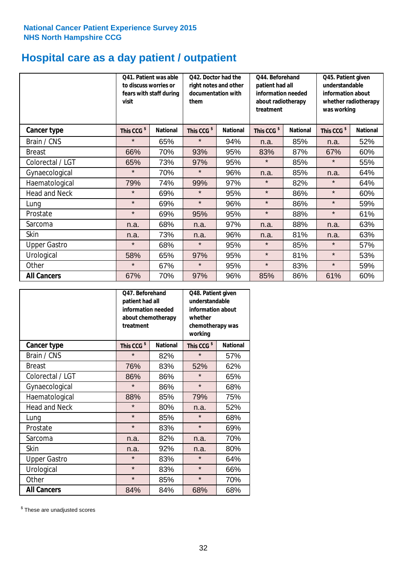# **Hospital care as a day patient / outpatient**

|                      | to discuss worries or<br>visit | Q41. Patient was able<br>fears with staff during | Q42. Doctor had the<br>right notes and other<br>documentation with<br>them |                 | Q44. Beforehand<br>patient had all<br>information needed<br>about radiotherapy<br>treatment |                 | Q45. Patient given<br>understandable<br>information about<br>whether radiotherapy<br>was working |                 |
|----------------------|--------------------------------|--------------------------------------------------|----------------------------------------------------------------------------|-----------------|---------------------------------------------------------------------------------------------|-----------------|--------------------------------------------------------------------------------------------------|-----------------|
| Cancer type          | This CCG <sup>\$</sup>         | <b>National</b>                                  | This CCG <sup>\$</sup>                                                     | <b>National</b> | This CCG <sup>\$</sup>                                                                      | <b>National</b> | This CCG <sup>\$</sup>                                                                           | <b>National</b> |
| Brain / CNS          | $\star$                        | 65%                                              | $\star$                                                                    | 94%             | n.a.                                                                                        | 85%             | n.a.                                                                                             | 52%             |
| <b>Breast</b>        | 66%                            | 70%                                              | 93%                                                                        | 95%             | 83%                                                                                         | 87%             | 67%                                                                                              | 60%             |
| Colorectal / LGT     | 65%                            | 73%                                              | 97%                                                                        | 95%             | $\star$                                                                                     | 85%             | $\star$                                                                                          | 55%             |
| Gynaecological       | $\star$                        | 70%                                              | $\star$                                                                    | 96%             | n.a.                                                                                        | 85%             | n.a.                                                                                             | 64%             |
| Haematological       | 79%                            | 74%                                              | 99%                                                                        | 97%             | $\star$                                                                                     | 82%             | $\star$                                                                                          | 64%             |
| <b>Head and Neck</b> | $\star$                        | 69%                                              | $\star$                                                                    | 95%             | $\star$                                                                                     | 86%             | $\star$                                                                                          | 60%             |
| Lung                 | $\star$                        | 69%                                              | $\star$                                                                    | 96%             | $\star$                                                                                     | 86%             | $\star$                                                                                          | 59%             |
| Prostate             | $\star$                        | 69%                                              | 95%                                                                        | 95%             | $\star$                                                                                     | 88%             | $\star$                                                                                          | 61%             |
| Sarcoma              | n.a.                           | 68%                                              | n.a.                                                                       | 97%             | n.a.                                                                                        | 88%             | n.a.                                                                                             | 63%             |
| Skin                 | n.a.                           | 73%                                              | n.a.                                                                       | 96%             | n.a.                                                                                        | 81%             | n.a.                                                                                             | 63%             |
| <b>Upper Gastro</b>  | $\star$                        | 68%                                              | $\star$                                                                    | 95%             | $\star$                                                                                     | 85%             | $\star$                                                                                          | 57%             |
| Urological           | 58%                            | 65%                                              | 97%                                                                        | 95%             | $\star$                                                                                     | 81%             | $\star$                                                                                          | 53%             |
| Other                | $\star$                        | 67%                                              | $\star$                                                                    | 95%             | $\star$                                                                                     | 83%             | $\star$                                                                                          | 59%             |
| <b>All Cancers</b>   | 67%                            | 70%                                              | 97%                                                                        | 96%             | 85%                                                                                         | 86%             | 61%                                                                                              | 60%             |

|                      | Q47. Beforehand<br>patient had all<br>information needed<br>about chemotherapy<br>treatment |                 | Q48. Patient given<br>understandable<br>information about<br>whether<br>chemotherapy was<br>working |                 |  |
|----------------------|---------------------------------------------------------------------------------------------|-----------------|-----------------------------------------------------------------------------------------------------|-----------------|--|
| <b>Cancer type</b>   | This CCG <sup>\$</sup>                                                                      | <b>National</b> | This CCG <sup>\$</sup>                                                                              | <b>National</b> |  |
| Brain / CNS          | $\star$                                                                                     | 82%             | $\star$                                                                                             | 57%             |  |
| <b>Breast</b>        | 76%                                                                                         | 83%             | 52%                                                                                                 | 62%             |  |
| Colorectal / LGT     | 86%                                                                                         | 86%             | $\star$                                                                                             | 65%             |  |
| Gynaecological       | $\star$                                                                                     | 86%             | $\star$                                                                                             | 68%             |  |
| Haematological       | 88%                                                                                         | 85%             |                                                                                                     | 75%             |  |
| <b>Head and Neck</b> | $\star$                                                                                     | 80%             | n.a.                                                                                                | 52%             |  |
| Lung                 | $\star$                                                                                     | 85%             | $\star$                                                                                             | 68%             |  |
| Prostate             | $\star$                                                                                     | 83%             | $\star$                                                                                             | 69%             |  |
| Sarcoma              | n.a.                                                                                        | 82%             | n.a.                                                                                                | 70%             |  |
| <b>Skin</b>          | n.a.                                                                                        | 92%             | n.a.                                                                                                | 80%             |  |
| <b>Upper Gastro</b>  | $\star$                                                                                     | 83%             | $\star$                                                                                             | 64%             |  |
| Urological           | $\star$                                                                                     | 83%             | $\star$                                                                                             | 66%             |  |
| Other                | $\star$                                                                                     | 85%             | $\star$                                                                                             | 70%             |  |
| <b>All Cancers</b>   | 84%                                                                                         | 84%             | 68%                                                                                                 | 68%             |  |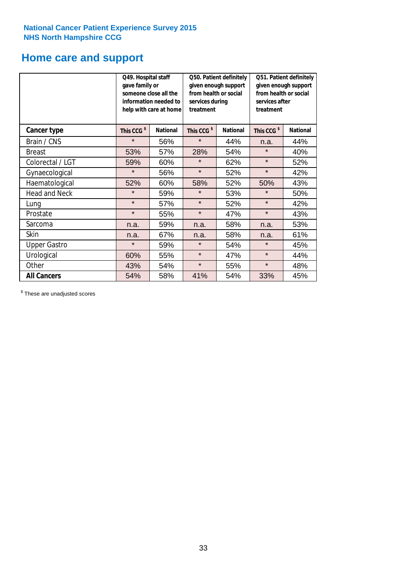# **Home care and support**

|                      | Q49. Hospital staff<br>gave family or | someone close all the<br>information needed to<br>help with care at home | Q50. Patient definitely<br>given enough support<br>from health or social<br>services during<br>treatment |     | Q51. Patient definitely<br>given enough support<br>from health or social<br>services after<br>treatment |                 |
|----------------------|---------------------------------------|--------------------------------------------------------------------------|----------------------------------------------------------------------------------------------------------|-----|---------------------------------------------------------------------------------------------------------|-----------------|
| <b>Cancer type</b>   | This CCG <sup>\$</sup>                | <b>National</b>                                                          | This CCG <sup>\$</sup><br><b>National</b>                                                                |     | This CCG <sup>\$</sup>                                                                                  | <b>National</b> |
| Brain / CNS          | $\star$                               | 56%                                                                      | $\star$                                                                                                  | 44% | n.a.                                                                                                    | 44%             |
| <b>Breast</b>        | 53%                                   | 57%                                                                      | 28%                                                                                                      | 54% | $\star$                                                                                                 | 40%             |
| Colorectal / LGT     | 59%                                   | 60%                                                                      | $\star$                                                                                                  | 62% | $\star$                                                                                                 | 52%             |
| Gynaecological       | $\star$                               | 56%                                                                      | $\star$                                                                                                  | 52% | $\star$                                                                                                 | 42%             |
| Haematological       | 52%                                   | 60%                                                                      | 58%                                                                                                      | 52% | 50%                                                                                                     | 43%             |
| <b>Head and Neck</b> | $\star$                               | 59%                                                                      | $\star$                                                                                                  | 53% | $\star$                                                                                                 | 50%             |
| Lung                 | $\star$                               | 57%                                                                      | $\star$                                                                                                  | 52% | $\star$                                                                                                 | 42%             |
| Prostate             | $\star$                               | 55%                                                                      | $\star$                                                                                                  | 47% | $\star$                                                                                                 | 43%             |
| Sarcoma              | n.a.                                  | 59%                                                                      | n.a.                                                                                                     | 58% | n.a.                                                                                                    | 53%             |
| Skin                 | n.a.                                  | 67%                                                                      | n.a.                                                                                                     | 58% | n.a.                                                                                                    | 61%             |
| <b>Upper Gastro</b>  | $\star$                               | 59%                                                                      | $\star$                                                                                                  | 54% | $\star$                                                                                                 | 45%             |
| Urological           | 60%                                   | 55%                                                                      | $\star$                                                                                                  | 47% | $\star$                                                                                                 | 44%             |
| Other                | 43%                                   | 54%                                                                      | $\star$                                                                                                  | 55% | $\star$                                                                                                 | 48%             |
| <b>All Cancers</b>   | 54%                                   | 58%                                                                      | 41%                                                                                                      | 54% | 33%                                                                                                     | 45%             |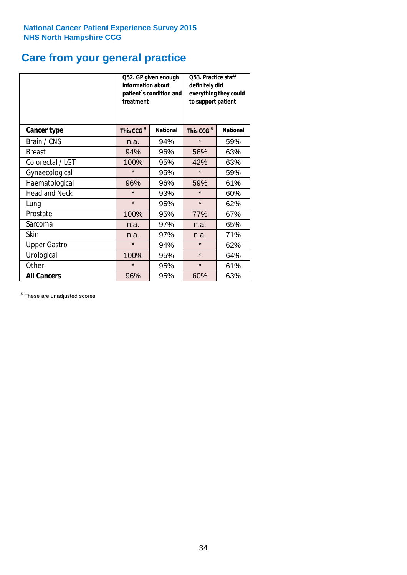# **Care from your general practice**

|                      | information about<br>treatment | Q52. GP given enough<br>patient's condition and | O53. Practice staff<br>definitely did<br>everything they could<br>to support patient |                 |  |
|----------------------|--------------------------------|-------------------------------------------------|--------------------------------------------------------------------------------------|-----------------|--|
| <b>Cancer type</b>   | This CCG <sup>\$</sup>         | <b>National</b>                                 | This CCG <sup>\$</sup>                                                               | <b>National</b> |  |
| Brain / CNS          | n.a.                           | 94%                                             | $\star$                                                                              | 59%             |  |
| <b>Breast</b>        | 94%                            | 96%                                             | 56%                                                                                  | 63%             |  |
| Colorectal / LGT     | 100%                           | 95%                                             | 42%                                                                                  | 63%             |  |
| Gynaecological       | $\star$                        | 95%                                             | $\star$                                                                              | 59%             |  |
| Haematological       | 96%                            | 96%                                             | 59%                                                                                  | 61%             |  |
| <b>Head and Neck</b> | $\star$                        | 93%                                             | $\star$                                                                              | 60%             |  |
| Lung                 | $\star$                        | 95%                                             | $\star$                                                                              | 62%             |  |
| Prostate             | 100%                           | 95%                                             | 77%                                                                                  | 67%             |  |
| Sarcoma              | n.a.                           | 97%                                             | n.a.                                                                                 | 65%             |  |
| Skin                 | n.a.                           | 97%                                             | n.a.                                                                                 | 71%             |  |
| <b>Upper Gastro</b>  | $\star$                        | 94%                                             | $\star$                                                                              | 62%             |  |
| Urological           | 100%                           | 95%                                             | $\star$                                                                              | 64%             |  |
| Other                | $\star$                        | 95%                                             | $\star$                                                                              | 61%             |  |
| <b>All Cancers</b>   | 96%                            | 95%                                             | 60%                                                                                  | 63%             |  |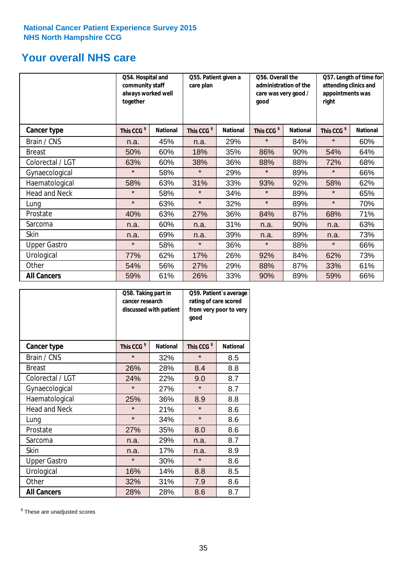# **Your overall NHS care**

|                      | Q54. Hospital and<br>community staff<br>always worked well<br>together |                 | Q55. Patient given a<br>care plan |                 | Q56. Overall the<br>administration of the<br>care was very good /<br>qood |                 | Q57. Length of time for<br>attending clinics and<br>appointments was<br>right |                 |
|----------------------|------------------------------------------------------------------------|-----------------|-----------------------------------|-----------------|---------------------------------------------------------------------------|-----------------|-------------------------------------------------------------------------------|-----------------|
| <b>Cancer type</b>   | This CCG <sup>\$</sup>                                                 | <b>National</b> | This CCG <sup>\$</sup>            | <b>National</b> | This CCG <sup>\$</sup>                                                    | <b>National</b> | This CCG <sup>\$</sup>                                                        | <b>National</b> |
| Brain / CNS          | n.a.                                                                   | 45%             | n.a.                              | 29%             | $\star$                                                                   | 84%             | $\star$                                                                       | 60%             |
| <b>Breast</b>        | 50%                                                                    | 60%             | 18%                               | 35%             | 86%                                                                       | 90%             | 54%                                                                           | 64%             |
| Colorectal / LGT     | 63%                                                                    | 60%             | 38%                               | 36%             | 88%                                                                       | 88%             | 72%                                                                           | 68%             |
| Gynaecological       | $\star$                                                                | 58%             | $\star$                           | 29%             | $\star$                                                                   | 89%             | $\star$                                                                       | 66%             |
| Haematological       | 58%                                                                    | 63%             | 31%                               | 33%             | 93%                                                                       | 92%             | 58%                                                                           | 62%             |
| <b>Head and Neck</b> | $\star$                                                                | 58%             | $\star$                           | 34%             | $\star$                                                                   | 89%             | $\star$                                                                       | 65%             |
| Lung                 | $\star$                                                                | 63%             | $\star$                           | 32%             | $\star$                                                                   | 89%             | $\star$                                                                       | 70%             |
| Prostate             | 40%                                                                    | 63%             | 27%                               | 36%             | 84%                                                                       | 87%             | 68%                                                                           | 71%             |
| Sarcoma              | n.a.                                                                   | 60%             | n.a.                              | 31%             | n.a.                                                                      | 90%             | n.a.                                                                          | 63%             |
| Skin                 | n.a.                                                                   | 69%             | n.a.                              | 39%             | n.a.                                                                      | 89%             | n.a.                                                                          | 73%             |
| <b>Upper Gastro</b>  | $\star$                                                                | 58%             | $\star$                           | 36%             | $\star$                                                                   | 88%             | $\star$                                                                       | 66%             |
| Urological           | 77%                                                                    | 62%             | 17%                               | 26%             | 92%                                                                       | 84%             | 62%                                                                           | 73%             |
| Other                | 54%                                                                    | 56%             | 27%                               | 29%             | 88%                                                                       | 87%             | 33%                                                                           | 61%             |
| <b>All Cancers</b>   | 59%                                                                    | 61%             | 26%                               | 33%             | 90%                                                                       | 89%             | 59%                                                                           | 66%             |

|                      | Q58. Taking part in<br>cancer research | discussed with patient | Q59. Patient's average<br>rating of care scored<br>from very poor to very<br>good |                 |  |
|----------------------|----------------------------------------|------------------------|-----------------------------------------------------------------------------------|-----------------|--|
| <b>Cancer type</b>   | This CCG <sup>\$</sup>                 | <b>National</b>        | This CCG <sup>\$</sup>                                                            | <b>National</b> |  |
| Brain / CNS          | $\star$                                | 32%                    | $\star$                                                                           | 8.5             |  |
| <b>Breast</b>        | 26%                                    | 28%                    | 8.4                                                                               | 8.8             |  |
| Colorectal / LGT     | 24%                                    | 22%                    | 9.0                                                                               | 8.7             |  |
| Gynaecological       | $\star$                                | 27%                    | $\star$                                                                           | 8.7             |  |
| Haematological       | 25%                                    | 36%                    | 8.9                                                                               | 8.8             |  |
| <b>Head and Neck</b> | $\star$                                | 21%                    | $\star$                                                                           | 8.6             |  |
| Lung                 | $\star$                                | 34%                    | $\star$                                                                           | 8.6             |  |
| Prostate             | 27%                                    | 35%                    | 8.0                                                                               | 8.6             |  |
| Sarcoma              | n.a.                                   | 29%                    | n.a.                                                                              | 8.7             |  |
| Skin                 | n.a.                                   | 17%                    | n.a.                                                                              | 8.9             |  |
| <b>Upper Gastro</b>  | $\star$                                | 30%                    | $\star$                                                                           | 8.6             |  |
| Urological           | 16%                                    | 14%                    | 8.8                                                                               | 8.5             |  |
| Other                | 32%                                    | 31%                    | 7.9                                                                               | 8.6             |  |
| <b>All Cancers</b>   | 28%                                    | 28%                    | 8.6                                                                               | 8.7             |  |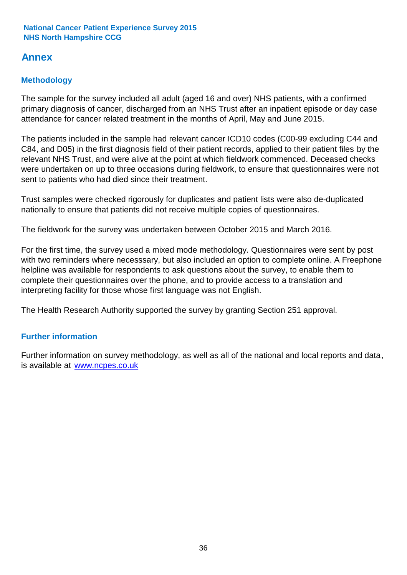# **Annex**

# **Methodology**

The sample for the survey included all adult (aged 16 and over) NHS patients, with a confirmed primary diagnosis of cancer, discharged from an NHS Trust after an inpatient episode or day case attendance for cancer related treatment in the months of April, May and June 2015.

The patients included in the sample had relevant cancer ICD10 codes (C00-99 excluding C44 and C84, and D05) in the first diagnosis field of their patient records, applied to their patient files by the relevant NHS Trust, and were alive at the point at which fieldwork commenced. Deceased checks were undertaken on up to three occasions during fieldwork, to ensure that questionnaires were not sent to patients who had died since their treatment.

Trust samples were checked rigorously for duplicates and patient lists were also de-duplicated nationally to ensure that patients did not receive multiple copies of questionnaires.

The fieldwork for the survey was undertaken between October 2015 and March 2016.

For the first time, the survey used a mixed mode methodology. Questionnaires were sent by post with two reminders where necesssary, but also included an option to complete online. A Freephone helpline was available for respondents to ask questions about the survey, to enable them to complete their questionnaires over the phone, and to provide access to a translation and interpreting facility for those whose first language was not English.

The Health Research Authority supported the survey by granting Section 251 approval.

# **Further information**

Further information on survey methodology, as well as all of the national and local reports and data, is available at www.ncpes.co.uk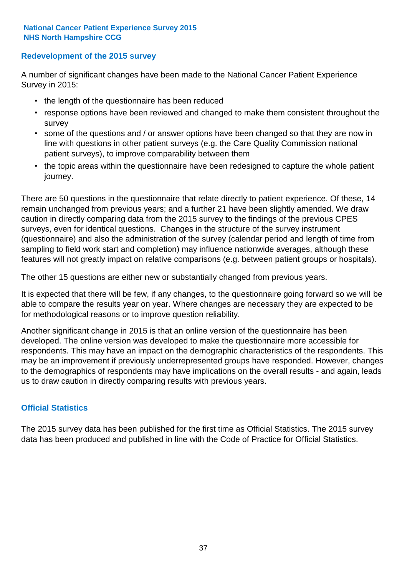### **Redevelopment of the 2015 survey**

A number of significant changes have been made to the National Cancer Patient Experience Survey in 2015:

- the length of the questionnaire has been reduced
- response options have been reviewed and changed to make them consistent throughout the survey
- some of the questions and / or answer options have been changed so that they are now in line with questions in other patient surveys (e.g. the Care Quality Commission national patient surveys), to improve comparability between them
- the topic areas within the questionnaire have been redesigned to capture the whole patient journey.

There are 50 questions in the questionnaire that relate directly to patient experience. Of these, 14 remain unchanged from previous years; and a further 21 have been slightly amended. We draw caution in directly comparing data from the 2015 survey to the findings of the previous CPES surveys, even for identical questions. Changes in the structure of the survey instrument (questionnaire) and also the administration of the survey (calendar period and length of time from sampling to field work start and completion) may influence nationwide averages, although these features will not greatly impact on relative comparisons (e.g. between patient groups or hospitals).

The other 15 questions are either new or substantially changed from previous years.

It is expected that there will be few, if any changes, to the questionnaire going forward so we will be able to compare the results year on year. Where changes are necessary they are expected to be for methodological reasons or to improve question reliability.

Another significant change in 2015 is that an online version of the questionnaire has been developed. The online version was developed to make the questionnaire more accessible for respondents. This may have an impact on the demographic characteristics of the respondents. This may be an improvement if previously underrepresented groups have responded. However, changes to the demographics of respondents may have implications on the overall results - and again, leads us to draw caution in directly comparing results with previous years.

### **Official Statistics**

The 2015 survey data has been published for the first time as Official Statistics. The 2015 survey data has been produced and published in line with the Code of Practice for Official Statistics.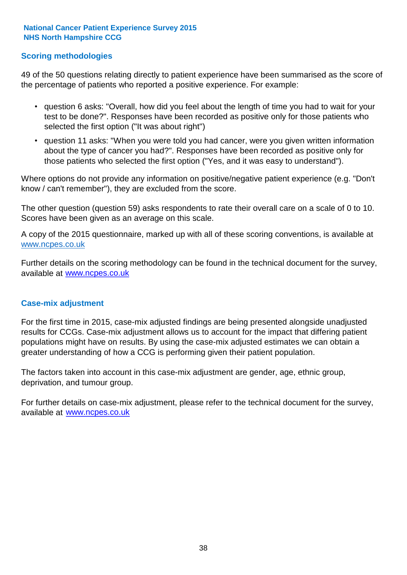### **Scoring methodologies**

49 of the 50 questions relating directly to patient experience have been summarised as the score of the percentage of patients who reported a positive experience. For example:

- question 6 asks: "Overall, how did you feel about the length of time you had to wait for your test to be done?". Responses have been recorded as positive only for those patients who selected the first option ("It was about right")
- question 11 asks: "When you were told you had cancer, were you given written information about the type of cancer you had?". Responses have been recorded as positive only for those patients who selected the first option ("Yes, and it was easy to understand").

Where options do not provide any information on positive/negative patient experience (e.g. "Don't know / can't remember"), they are excluded from the score.

The other question (question 59) asks respondents to rate their overall care on a scale of 0 to 10. Scores have been given as an average on this scale.

A copy of the 2015 questionnaire, marked up with all of these scoring conventions, is available at www.ncpes.co.uk

Further details on the scoring methodology can be found in the technical document for the survey, available at <u>www.ncpes.co.uk</u>

#### **Case-mix adjustment**

For the first time in 2015, case-mix adjusted findings are being presented alongside unadjusted results for CCGs. Case-mix adjustment allows us to account for the impact that differing patient populations might have on results. By using the case-mix adjusted estimates we can obtain a greater understanding of how a CCG is performing given their patient population.

The factors taken into account in this case-mix adjustment are gender, age, ethnic group, deprivation, and tumour group.

For further details on case-mix adjustment, please refer to the technical document for the survey, available at www.ncpes.co.uk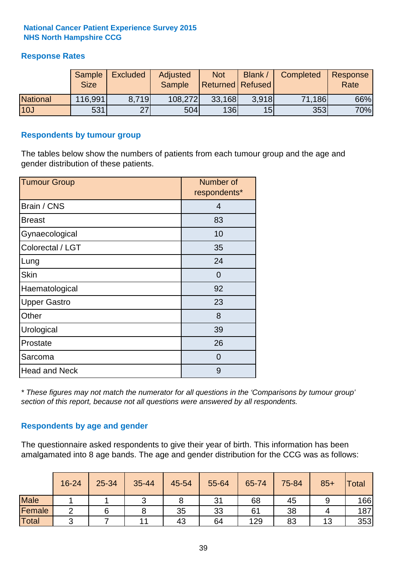# **Response Rates**

|                 | Sample<br><b>Size</b> | <b>Excluded</b> | Adjusted<br><b>Sample</b> | <b>Not</b><br>Returned Refused | Blank / | Completed | Response<br>Rate |
|-----------------|-----------------------|-----------------|---------------------------|--------------------------------|---------|-----------|------------------|
| <b>National</b> | 116,991               | 8.719           | 108,272                   | 33,168                         | 3.918   | 71,186    | 66%              |
| 10J             | 531                   | 27              | 504                       | <b>136</b>                     | 15      | 353       | 70%              |

#### **Respondents by tumour group**

The tables below show the numbers of patients from each tumour group and the age and gender distribution of these patients.

| <b>Tumour Group</b>  | Number of<br>respondents* |
|----------------------|---------------------------|
| Brain / CNS          | 4                         |
| <b>Breast</b>        | 83                        |
| Gynaecological       | 10                        |
| Colorectal / LGT     | 35                        |
| Lung                 | 24                        |
| <b>Skin</b>          | $\Omega$                  |
| Haematological       | 92                        |
| <b>Upper Gastro</b>  | 23                        |
| Other                | 8                         |
| Urological           | 39                        |
| Prostate             | 26                        |
| Sarcoma              | $\Omega$                  |
| <b>Head and Neck</b> | 9                         |

*\* These figures may not match the numerator for all questions in the 'Comparisons by tumour group' section of this report, because not all questions were answered by all respondents.*

### **Respondents by age and gender**

The questionnaire asked respondents to give their year of birth. This information has been amalgamated into 8 age bands. The age and gender distribution for the CCG was as follows:

|             | 16-24 | 25-34 | 35-44 | 45-54 | 55-64 | 65-74 | 75-84 | $85+$ | Total |
|-------------|-------|-------|-------|-------|-------|-------|-------|-------|-------|
| <b>Male</b> |       |       |       | О     | 31    | 68    | 45    |       | 166   |
| Female      |       |       |       | 35    | 33    | 61    | 38    |       | 187   |
| Total       | ⌒     |       | 11    | 43    | 64    | 129   | 83    | 13    | 353   |